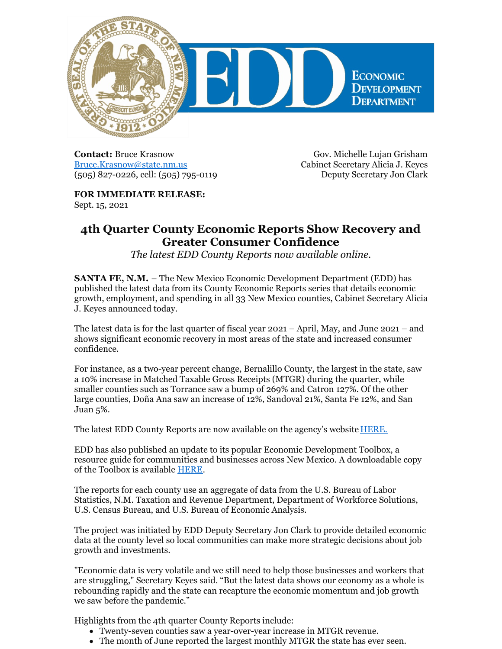

**Contact:** Bruce Krasnow [Bruce.Krasnow@state.nm.us](mailto:Bruce.Krasnow@state.nm.us) (505) 827-0226, cell: (505) 795-0119

Gov. Michelle Lujan Grisham Cabinet Secretary Alicia J. Keyes Deputy Secretary Jon Clark

**FOR IMMEDIATE RELEASE:** Sept. 15, 2021

## **4th Quarter County Economic Reports Show Recovery and Greater Consumer Confidence**

*The latest EDD County Reports now available online.*

**SANTA FE, N.M.** – The New Mexico Economic Development Department (EDD) has published the latest data from its County Economic Reports series that details economic growth, employment, and spending in all 33 New Mexico counties, Cabinet Secretary Alicia J. Keyes announced today.

The latest data is for the last quarter of fiscal year 2021 – April, May, and June 2021 – and shows significant economic recovery in most areas of the state and increased consumer confidence.

For instance, as a two-year percent change, Bernalillo County, the largest in the state, saw a 10% increase in Matched Taxable Gross Receipts (MTGR) during the quarter, while smaller counties such as Torrance saw a bump of 269% and Catron 127%. Of the other large counties, Doña Ana saw an increase of 12%, Sandoval 21%, Santa Fe 12%, and San Juan 5%.

The latest EDD County Reports are now available on the agency's website [HERE.](https://gonm.biz/site-selection/county-profiles/)

EDD has also published an update to its popular Economic Development Toolbox, a resource guide for communities and businesses across New Mexico. A downloadable copy of the Toolbox is available [HERE](https://gonm.biz/uploads/documents/publications/FullToolbox2021forWeb.pdf).

The reports for each county use an aggregate of data from the U.S. Bureau of Labor Statistics, N.M. Taxation and Revenue Department, Department of Workforce Solutions, U.S. Census Bureau, and U.S. Bureau of Economic Analysis.

The project was initiated by EDD Deputy Secretary Jon Clark to provide detailed economic data at the county level so local communities can make more strategic decisions about job growth and investments.

"Economic data is very volatile and we still need to help those businesses and workers that are struggling," Secretary Keyes said. "But the latest data shows our economy as a whole is rebounding rapidly and the state can recapture the economic momentum and job growth we saw before the pandemic."

Highlights from the 4th quarter County Reports include:

- Twenty-seven counties saw a year-over-year increase in MTGR revenue.
- The month of June reported the largest monthly MTGR the state has ever seen.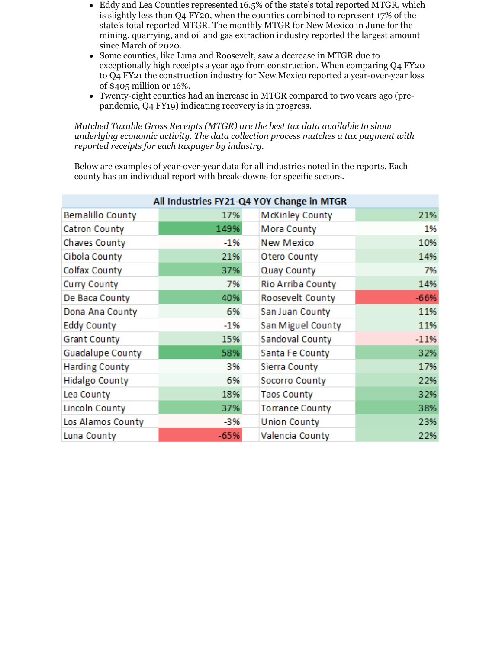- Eddy and Lea Counties represented 16.5% of the state's total reported MTGR, which is slightly less than Q4 FY20, when the counties combined to represent 17% of the state's total reported MTGR. The monthly MTGR for New Mexico in June for the mining, quarrying, and oil and gas extraction industry reported the largest amount since March of 2020.
- Some counties, like Luna and Roosevelt, saw a decrease in MTGR due to exceptionally high receipts a year ago from construction. When comparing Q4 FY20 to Q4 FY21 the construction industry for New Mexico reported a year-over-year loss of \$405 million or 16%.
- Twenty-eight counties had an increase in MTGR compared to two years ago (prepandemic, Q4 FY19) indicating recovery is in progress.

*Matched Taxable Gross Receipts (MTGR) are the best tax data available to show underlying economic activity. The data collection process matches a tax payment with reported receipts for each taxpayer by industry.*

Below are examples of year-over-year data for all industries noted in the reports. Each county has an individual report with break-downs for specific sectors.

| All Industries FY21-Q4 YOY Change in MTGR |        |                        |        |  |  |
|-------------------------------------------|--------|------------------------|--------|--|--|
| <b>Bemalillo County</b>                   | 17%    | <b>McKinley County</b> | 21%    |  |  |
| <b>Catron County</b>                      | 149%   | Mora County            | 1%     |  |  |
| Chaves County                             | $-1%$  | New Mexico             | 10%    |  |  |
| Cibola County                             | 21%    | Otero County           | 14%    |  |  |
| Colfax County                             | 37%    | Quay County            | 7%     |  |  |
| Curry County                              | 7%     | Rio Arriba County      | 14%    |  |  |
| De Baca County                            | 40%    | Roosevelt County       | $-66%$ |  |  |
| Dona Ana County                           | 6%     | San Juan County        | 11%    |  |  |
| <b>Eddy County</b>                        | $-1%$  | San Miguel County      | 11%    |  |  |
| <b>Grant County</b>                       | 15%    | Sandoval County        | $-11%$ |  |  |
| <b>Guadalupe County</b>                   | 58%    | Santa Fe County        | 32%    |  |  |
| <b>Harding County</b>                     | 3%     | Sierra County          | 17%    |  |  |
| <b>Hidalgo County</b>                     | 6%     | Socorro County         | 22%    |  |  |
| Lea County                                | 18%    | <b>Taos County</b>     | 32%    |  |  |
| Lincoln County                            | 37%    | <b>Torrance County</b> | 38%    |  |  |
| Los Alamos County                         | $-3%$  | <b>Union County</b>    | 23%    |  |  |
| Luna County                               | $-65%$ | Valencia County        | 22%    |  |  |